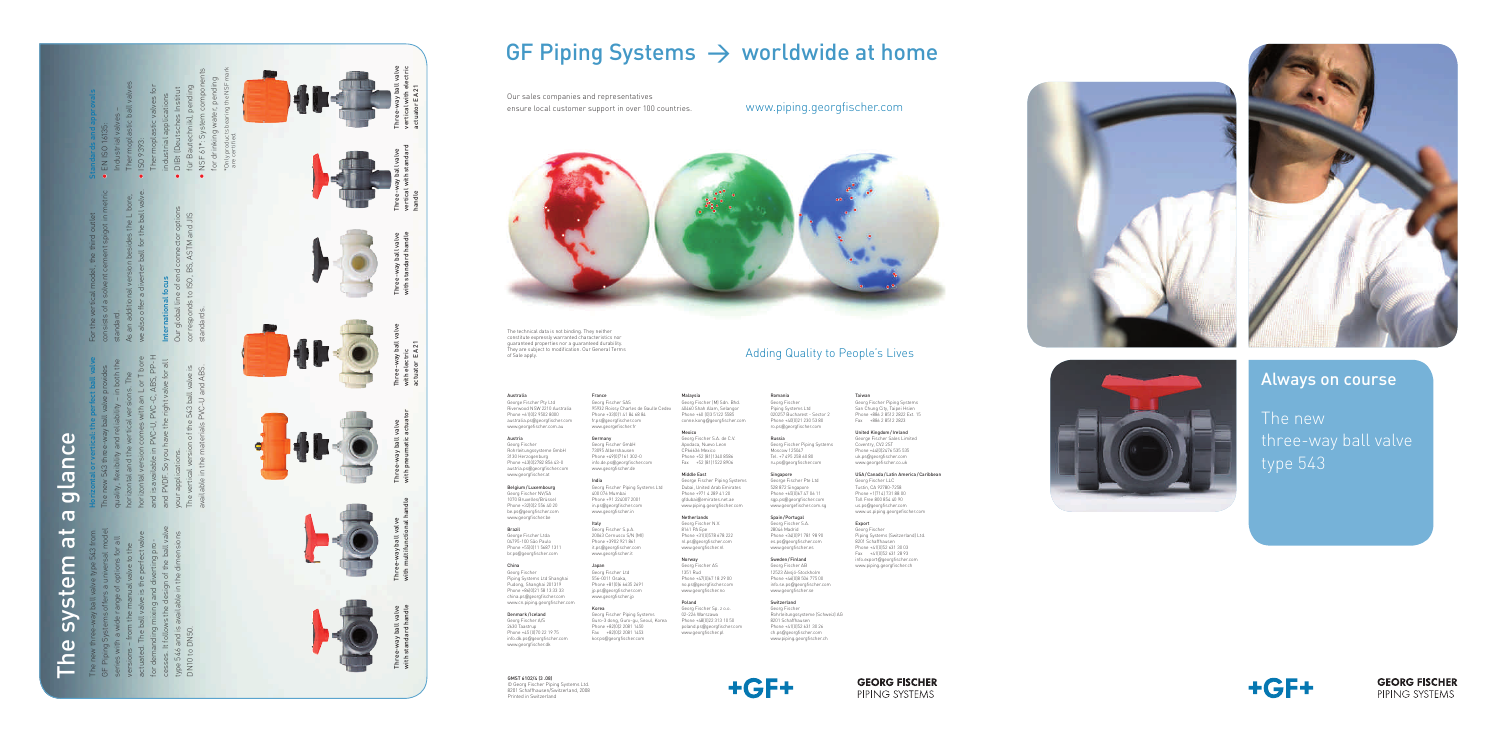## Always on course

The new three-way ball valve type 543

 $+GF+$ 

**GEORG FISCHER** PIPING SYSTEMS



GMST 6102/4 (3 .08) © Georg Fischer Piping Systems Ltd. 8201 Schaffhausen/Switzerland, 2008 Printed in Switzerland

with standard handle

 $\frac{1}{2}$ 

with multifunctional handle

with pneumatic actuator



# GF Piping Systems  $\rightarrow$  worldwide at home

with electric actuator EA 21

vertical with standard

handle

vertical with electric actuator EA 21

with standard handle

## $\mathbf{D}$ The system at a glance  $\overline{O}$ gland  $\overline{\mathbf{C}}$ پ  $\overline{\mathbf{C}}$ E systel  $\omega$ Ě

cesses. It follows the design of the ball valve GF Piping Systems offers a universal model The new three-way ball valve type 543 from actuated. The ball valve is the perfect valve type 546 and is available in the dimensions series with a wide range of options for all perrect valu<br>erting pro-<br>f the ball va<br>e dimensior for demanding mixing and diverting proversions – from the manual valve to the ill valve is the p<br>nixing and dive<br>s the design of<br>wailable in the  $\frac{1}{\sqrt{2}}$ ng mi<br>Ilows<br>I is ava DN10 to DN50. It fol for deman<br>cesses. It<br>type 546 a<br>DN10 to L

ons. The<br>n L or T bore<br>C, ABS, PP-H<br>valve for all and is available in PVC-U, PVC-C, ABS, PP-H horizontal version comes with an L or T bore Horizontal or vertical: the perfect ball valve and PVDF. So you have the right valve for all quality, flexibility and reliability – in both the The new 543 three-way ball valve provides horizontal and the vertical versions. The exibility and reliability – in<br>I l and the vertical versions.<br>I l version comes with an L<br>ailable in PVC-U, PVC-C, A<br>.<br>Cations.<br>I luarions. your applications. ntal a<br>ntal \<br>avail is avail<br>PVDF.<br>r applic<br>vertica

Standards and approvals EN ISO 16135:

- Industrial valves Thermoplastic ball valves • ISO 9393:
- Thermoplastic valves for industrial applications
- •••• DIBt (Deutsches Institut für Bautechnik), pending
- NSF 61\*: System components for drinking water, pending \*Only products bearing the NSF mark

available in the materials PVC-U and ABS. valve is<br>nd ABS. The vertical version of the 543 ball valve is ne U-<br>Viled<br>Jed 543<br>PVCof the !<br>erials F  $\frac{1}{2}$ 

we also offer a diverter ball for the ball valve. As an additional version besides the L bore, s the<br>the b

Our global line of end connector options corresponds to ISO, BS, ASTM and JIS nnectc<br>ASTM  $\frac{1}{2}$ <br> $\frac{1}{2}$ <br> $\frac{1}{2}$ <br> $\frac{1}{2}$ <br> $\frac{1}{2}$ <br><br> $\frac{1}{2}$ <br><br><br><br><br><br><br><br><br><br><br><br><br><br><br><br><br><br><br><br><br><br><br><br><br><br><br><br> **ernational 1**<br>global line .<br>responds to standards. **Inter**<br>Our<br>corre

Our sales companies and representatives ensure local customer support in over 100 countries. www.piping.georgfischer.com



consists of a solvent cement spigot in metric For the vertical model, the third outlet  $\sigma$ standard.

# International focus

## Adding Quality to People's Lives

The technical data is not binding. They neither constitute expressly warranted characteristics nor guaranteed properties nor a guaranteed durability. They are subject to modification. Our General Terms of Sale apply.

Australia George Fischer Pty Ltd Riverwood NSW 2210 Australia Phone +61(0)2 9502 8000 australia.ps @georgfischer.com www.georgefischer.com.au

Austria Georg Fischer Rohrleitungssysteme GmbH 3130 Herzogenburg Phone +43(0)2782 856 43-0 austria.ps @georgfischer.com www.georgfischer.at

Belgium /Luxembourg Georg Fischer NV/SA 1070 Bruxelles/Brüssel Phone +32(0)2 556 40 20 be.ps @georgfischer.com www.georgfischer.be

Brazil George Fischer Ltda 04795-100 São Paulo Phone +55(0)11 5687 1311 br.ps @georgfischer.com

Toll Free 800 854 40 90 us.ps @georgfischer.com www.us.piping.georgefischer.com

China Georg Fischer Piping Systems Ltd Shanghai Pudong, Shanghai 201319 Phone +86(0)21 58 13 33 33 china.ps @georgfischer.com www.cn.piping.georgfischer.com

Denmark /Iceland Georg Fischer A/S 2630 Taastrup Phone +45 (0)70 22 19 75 info.dk.ps @georgfischer.com www.georgfischer.dk

France Georg Fischer SAS 95932 Roissy Charles de Gaulle Cedex Phone +33(0)1 41 84 68 84 fr.ps @georgfischer.com www.georgefischer.fr

Germany Georg Fischer GmbH 73095 Albershausen Phone +49(0)7161 302-0 info.de.ps @georgfischer.com www.georgfischer.de

India

Georg Fischer Piping Systems Ltd 400 076 Mumbai Phone +91 224007 2001 in.ps @georgfischer.com www.georgfischer.in

Italy Georg Fischer S.p.A. 20063 Cernusco S/N (MI) Phone +3902 921 861 it.ps @georgfischer.com www.georgfischer.it

Japan Georg Fischer Ltd 556-0011 Osaka, Phone +81(0)6 6635 2691 jp.ps @georgfischer.com www.georgfischer.jp

Korea

Georg Fischer Piping Systems Guro-3 dong, Guro-gu, Seoul, Korea Phone +82(0)2 2081 1450 Fax +82(0)2 2081 1453 kor.ps @georgfischer.com

# Malaysia Georg Fischer (M) Sdn. Bhd.

40460 Shah Alam, Selangor Phone +60 (0)3 5122 5585 conne.kong @georgfischer.com Mexico Georg Fischer S.A. de C.V.

Apodaca, Nuevo Leon CP66636 Mexico Phone +52 (81)1340 8586 Fax +52 (81)1522 8906

Middle East George Fischer Piping Systems Dubai, United Arab Emirates Phone +971 4 289 41 20 gfdubai @emirates.net.ae www.piping.georgfischer.com

Netherlands Georg Fischer N.V. 8161 PA Epe Phone +31(0)578 678 222 nl.ps @georgfischer.com www.georgfischer.nl

Norway Georg Fischer AS 1351 Rud Phone +47(0)67 18 29 00 no.ps @georgfischer.com www.georgfischer.no

Poland

Georg Fischer Sp. z o.o. 02-226 Warszawa Phone +48(0)22 313 10 50 poland.ps @georgfischer.com www.georgfischer.pl



#### Romania Georg Fischer

Piping Systems Ltd 020257 Bucharest - Sector 2 Phone +40(0)21 230 53 80 ro.ps @georgfischer.com

Russia Georg Fischer Piping Systems Moscow 125047 Tel. +7 495 258 60 80 ru.ps @georgfischer.com

Singapore George Fischer Pte Ltd 528 872 Singapore Phone +65(0)67 47 06 11 sgp.ps @georgfischer.com www.georgefischer.com.sg

Spain /Portugal Georg Fischer S.A. 28046 Madrid Phone +34(0)91 781 98 90 es.ps @georgfischer.com www.georgfischer.es Sweden /Finland Georg Fischer AB 12523 Älvsjö-Stockholm Phone +46(0)8 506 775 00 info.se.ps @georgfischer.com

www.georgfischer.se Switzerland Georg Fischer Rohrleitungssysteme (Schweiz) AG 8201 Schaffhausen Phone +41(0)52 631 30 26 ch.ps @georgfischer.com www.piping.georgfischer.ch

Taiwan Georg Fischer Piping Systems San Chung City, Taipei Hsien Phone +886 2 8512 2822 Ext. 15 Fax +886 2 8512 2823

United Kingdom /Ireland George Fischer Sales Limited Coventry, CV2 2ST Phone +44(0)2476 535 535

uk.ps @georgfischer.com

www.georgefischer.co.uk USA /Canada /Latin America /Caribbean Georg Fischer LLC Tustin, CA 92780-7258 Phone +1(714) 731 88 00

Export Georg Fischer Piping Systems (Switzerland) Ltd. 8201 Schaffhausen Phone +41(0)52 631 30 03 Fax +41(0)52 631 28 93 info.export @georgfischer.com www.piping.georgfischer.ch